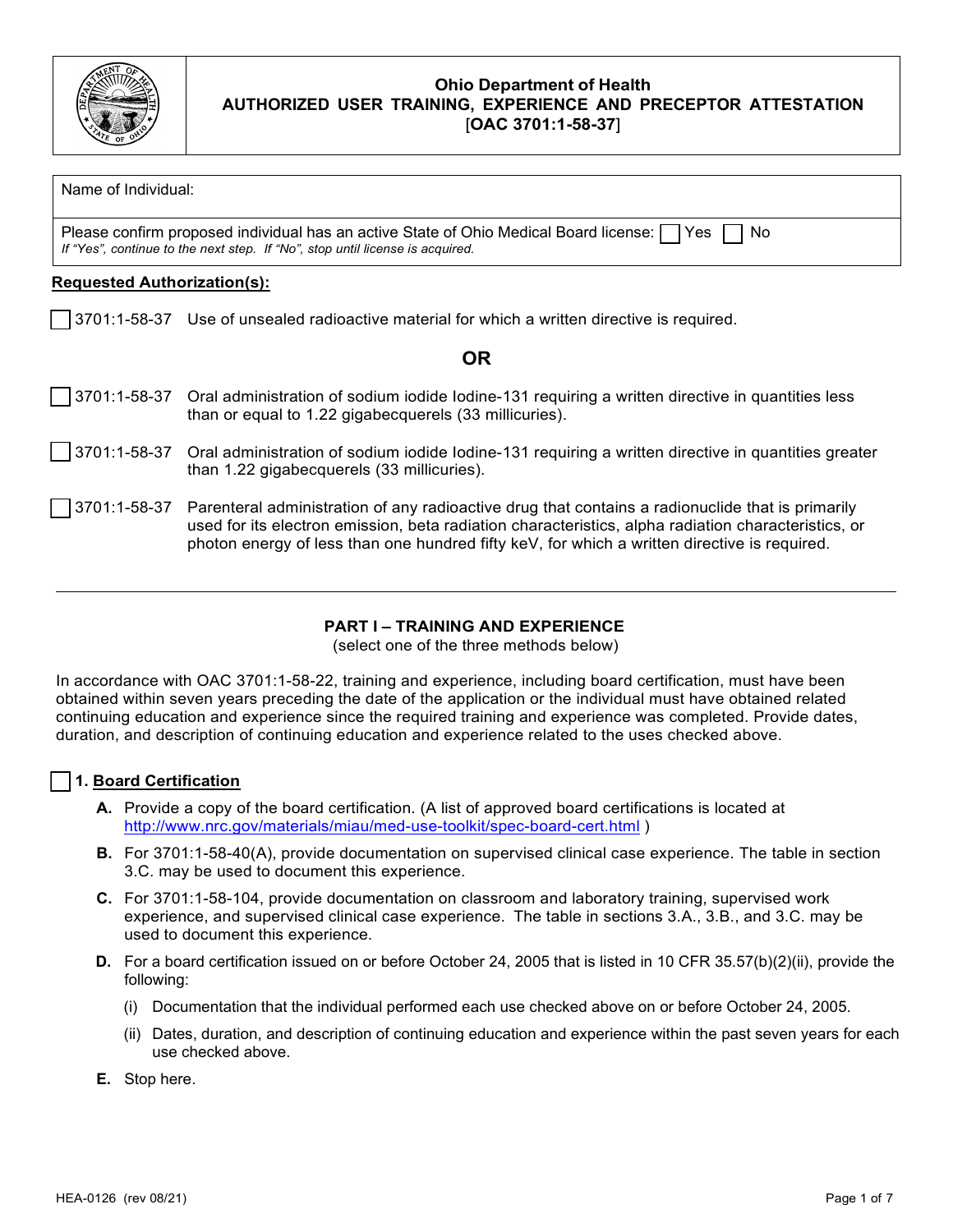

Name of Individual:

Please confirm proposed individual has an active State of Ohio Medical Board license:  $\Box$  Yes  $\Box$  No *If "Yes", continue to the next step. If "No", stop until license is acquired.*

### **Requested Authorization(s):**

☐ 3701:1-58-37 Use of unsealed radioactive material for which a written directive is required.

# **OR**

|  | 3701:1-58-37 Oral administration of sodium iodide lodine-131 requiring a written directive in quantities less |
|--|---------------------------------------------------------------------------------------------------------------|
|  | than or equal to 1.22 gigabecquerels (33 millicuries).                                                        |

- ☐ 3701:1-58-37 Oral administration of sodium iodide Iodine-131 requiring a written directive in quantities greater than 1.22 gigabecquerels (33 millicuries).
- ☐ 3701:1-58-37 Parenteral administration of any radioactive drug that contains a radionuclide that is primarily used for its electron emission, beta radiation characteristics, alpha radiation characteristics, or photon energy of less than one hundred fifty keV, for which a written directive is required.

### **PART I – TRAINING AND EXPERIENCE**

(select one of the three methods below)

In accordance with OAC 3701:1-58-22, training and experience, including board certification, must have been obtained within seven years preceding the date of the application or the individual must have obtained related continuing education and experience since the required training and experience was completed. Provide dates, duration, and description of continuing education and experience related to the uses checked above.

### ☐ **1. Board Certification**

- **A.** Provide a copy of the board certification. (A list of approved board certifications is located at <http://www.nrc.gov/materials/miau/med-use-toolkit/spec-board-cert.html> )
- **B.** For 3701:1-58-40(A), provide documentation on supervised clinical case experience. The table in section 3.C. may be used to document this experience.
- **C.** For 3701:1-58-104, provide documentation on classroom and laboratory training, supervised work experience, and supervised clinical case experience. The table in sections 3.A., 3.B., and 3.C. may be used to document this experience.
- **D.** For a board certification issued on or before October 24, 2005 that is listed in 10 CFR 35.57(b)(2)(ii), provide the following:
	- (i) Documentation that the individual performed each use checked above on or before October 24, 2005.
	- (ii) Dates, duration, and description of continuing education and experience within the past seven years for each use checked above.
- **E.** Stop here.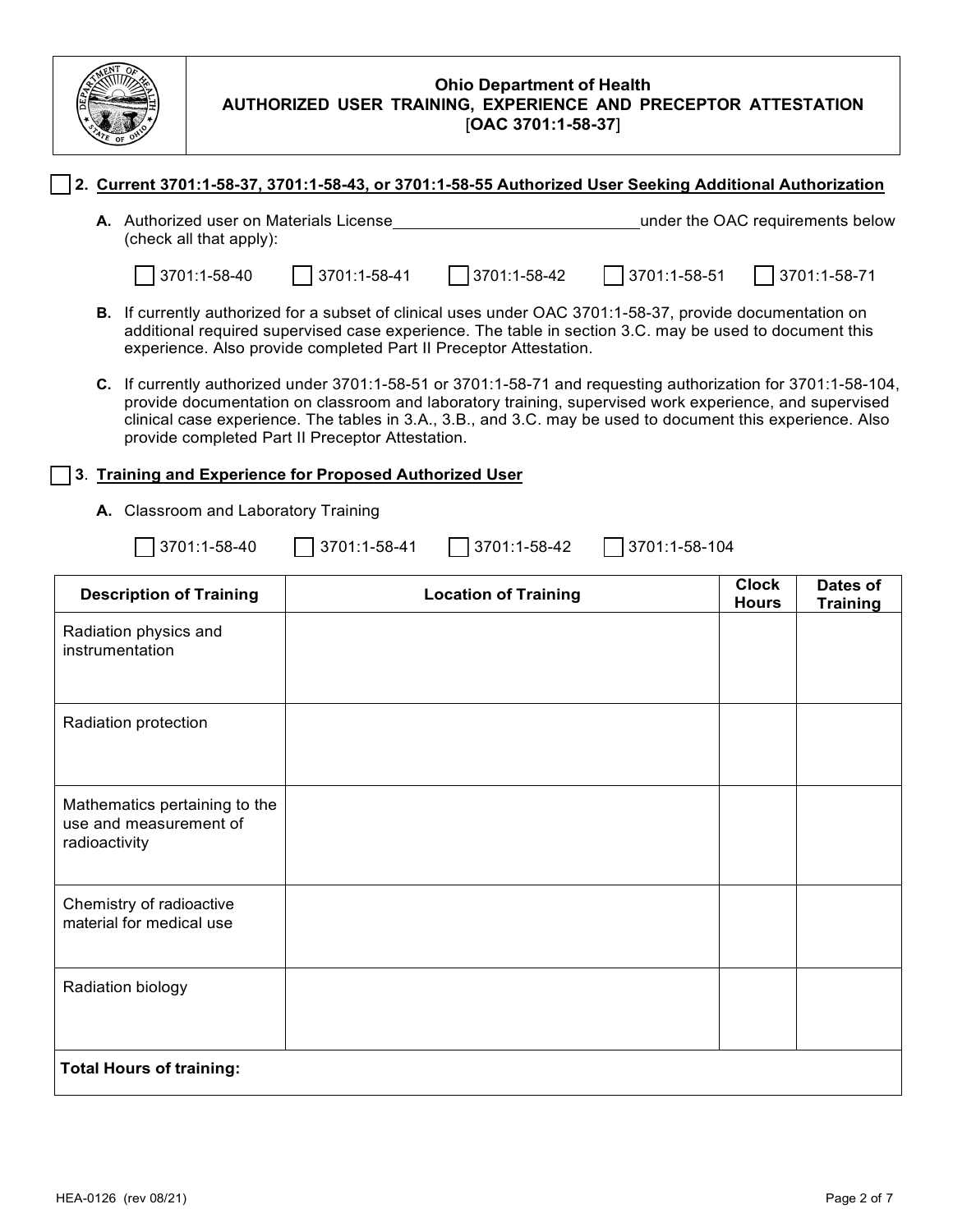

### ☐ **2. Current 3701:1-58-37, 3701:1-58-43, or 3701:1-58-55 Authorized User Seeking Additional Authorization**

**A.** Authorized user on Materials License under the OAC requirements below (check all that apply):

☐ 3701:1-58-40 ☐ 3701:1-58-41 ☐ 3701:1-58-42 ☐ 3701:1-58-51 ☐ 3701:1-58-71

- **B.** If currently authorized for a subset of clinical uses under OAC 3701:1-58-37, provide documentation on additional required supervised case experience. The table in section 3.C. may be used to document this experience. Also provide completed Part II Preceptor Attestation.
- **C.** If currently authorized under 3701:1-58-51 or 3701:1-58-71 and requesting authorization for 3701:1-58-104, provide documentation on classroom and laboratory training, supervised work experience, and supervised clinical case experience. The tables in 3.A., 3.B., and 3.C. may be used to document this experience. Also provide completed Part II Preceptor Attestation.

### ☐ **3**. **Training and Experience for Proposed Authorized User**

**A.** Classroom and Laboratory Training

| $\boxed{3701:1-58-40}$ |  |  | $3701:1-58-41$ 3701:1-58-42 3701:1-58-104 |  |
|------------------------|--|--|-------------------------------------------|--|
|------------------------|--|--|-------------------------------------------|--|

| <b>Description of Training</b>                                           | <b>Location of Training</b> | <b>Clock</b><br><b>Hours</b> | Dates of<br><b>Training</b> |  |
|--------------------------------------------------------------------------|-----------------------------|------------------------------|-----------------------------|--|
| Radiation physics and<br>instrumentation                                 |                             |                              |                             |  |
| Radiation protection                                                     |                             |                              |                             |  |
| Mathematics pertaining to the<br>use and measurement of<br>radioactivity |                             |                              |                             |  |
| Chemistry of radioactive<br>material for medical use                     |                             |                              |                             |  |
| Radiation biology                                                        |                             |                              |                             |  |
| <b>Total Hours of training:</b>                                          |                             |                              |                             |  |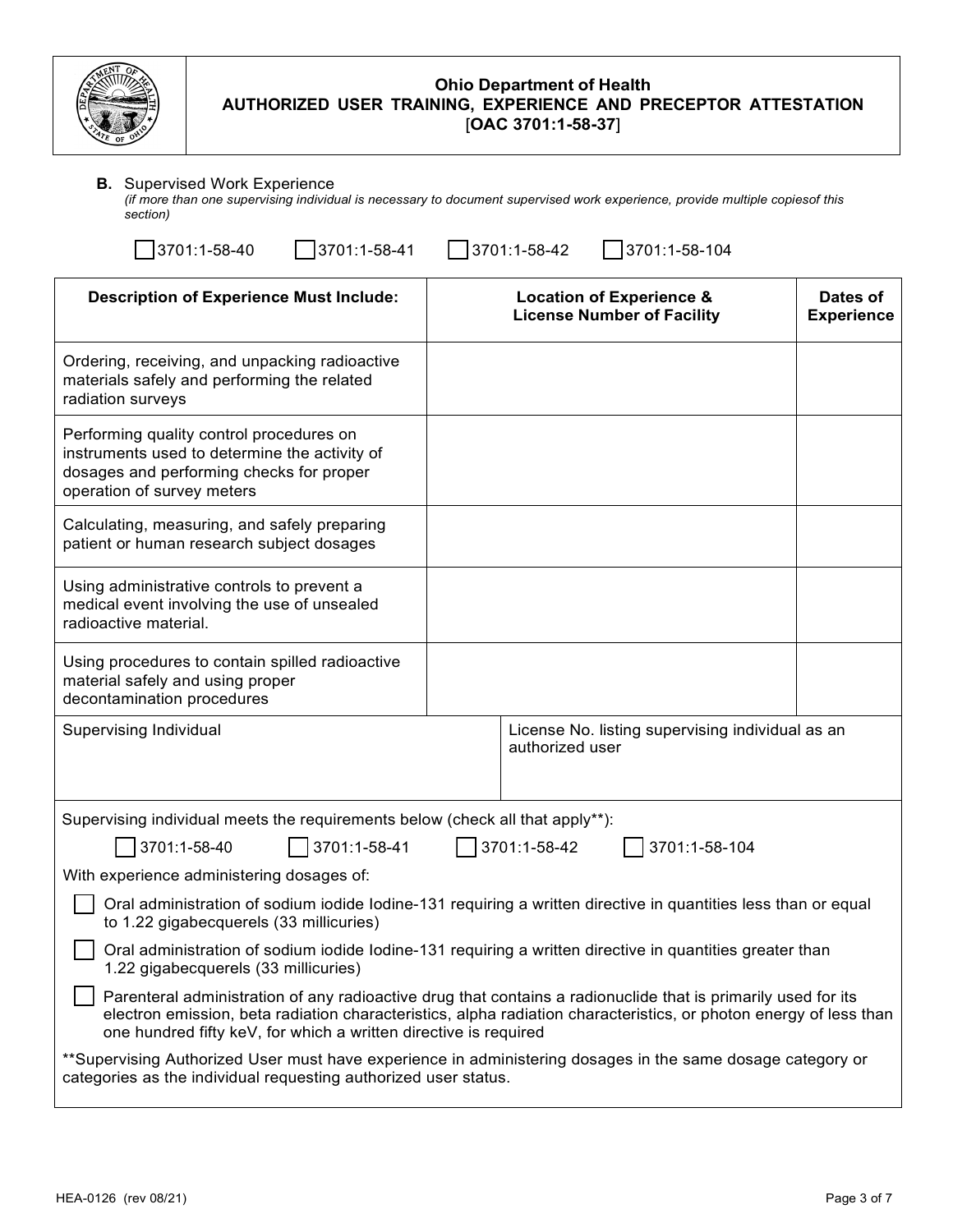

è

#### **B.** Supervised Work Experience

*(if more than one supervising individual is necessary to document supervised work experience, provide multiple copiesof this section)*

| 3701:1-58-40<br>3701:1-58-41                                                                                                                                                  | 3701:1-58-42<br>3701:1-58-104                                                                                                                                                                                                      |                               |  |
|-------------------------------------------------------------------------------------------------------------------------------------------------------------------------------|------------------------------------------------------------------------------------------------------------------------------------------------------------------------------------------------------------------------------------|-------------------------------|--|
| <b>Description of Experience Must Include:</b>                                                                                                                                | <b>Location of Experience &amp;</b><br><b>License Number of Facility</b>                                                                                                                                                           | Dates of<br><b>Experience</b> |  |
| Ordering, receiving, and unpacking radioactive<br>materials safely and performing the related<br>radiation surveys                                                            |                                                                                                                                                                                                                                    |                               |  |
| Performing quality control procedures on<br>instruments used to determine the activity of<br>dosages and performing checks for proper<br>operation of survey meters           |                                                                                                                                                                                                                                    |                               |  |
| Calculating, measuring, and safely preparing<br>patient or human research subject dosages                                                                                     |                                                                                                                                                                                                                                    |                               |  |
| Using administrative controls to prevent a<br>medical event involving the use of unsealed<br>radioactive material.                                                            |                                                                                                                                                                                                                                    |                               |  |
| Using procedures to contain spilled radioactive<br>material safely and using proper<br>decontamination procedures                                                             |                                                                                                                                                                                                                                    |                               |  |
| Supervising Individual                                                                                                                                                        | License No. listing supervising individual as an<br>authorized user                                                                                                                                                                |                               |  |
| Supervising individual meets the requirements below (check all that apply**):                                                                                                 |                                                                                                                                                                                                                                    |                               |  |
| 3701:1-58-40<br>3701:1-58-41                                                                                                                                                  | 3701:1-58-42<br>3701:1-58-104                                                                                                                                                                                                      |                               |  |
| With experience administering dosages of:                                                                                                                                     |                                                                                                                                                                                                                                    |                               |  |
| Oral administration of sodium iodide Iodine-131 requiring a written directive in quantities less than or equal<br>to 1.22 gigabecquerels (33 millicuries)                     |                                                                                                                                                                                                                                    |                               |  |
| Oral administration of sodium iodide Iodine-131 requiring a written directive in quantities greater than<br>1.22 gigabecquerels (33 millicuries)                              |                                                                                                                                                                                                                                    |                               |  |
| one hundred fifty keV, for which a written directive is required                                                                                                              | Parenteral administration of any radioactive drug that contains a radionuclide that is primarily used for its<br>electron emission, beta radiation characteristics, alpha radiation characteristics, or photon energy of less than |                               |  |
| **Supervising Authorized User must have experience in administering dosages in the same dosage category or<br>categories as the individual requesting authorized user status. |                                                                                                                                                                                                                                    |                               |  |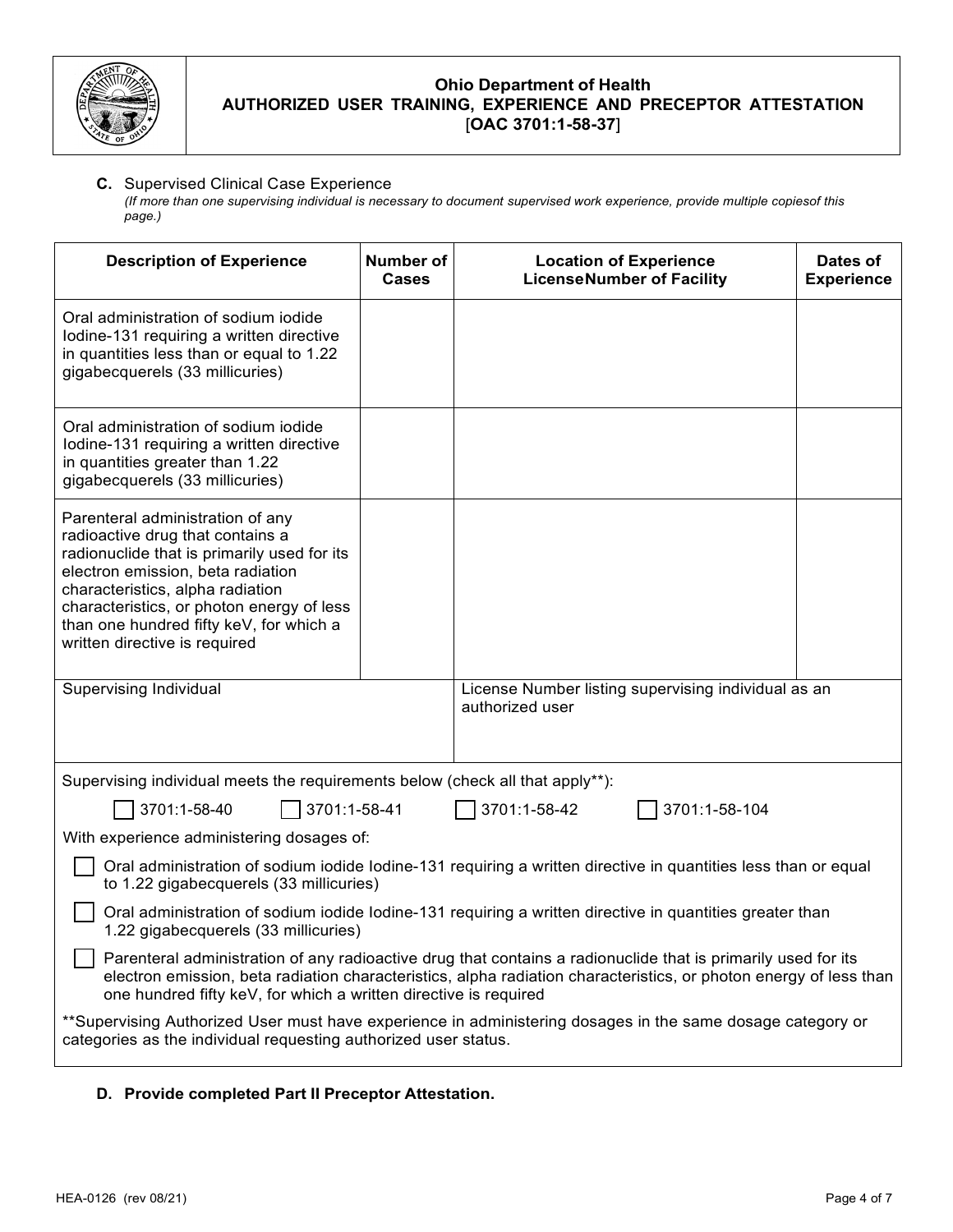

# **C.** Supervised Clinical Case Experience

*(If more than one supervising individual is necessary to document supervised work experience, provide multiple copiesof this page.)*

| <b>Description of Experience</b>                                                                                                                                                                                                                                                                                      | <b>Number of</b><br><b>Cases</b>                                                                                                                                                                                                                                                                       | <b>Location of Experience</b><br><b>LicenseNumber of Facility</b>      | Dates of<br><b>Experience</b> |
|-----------------------------------------------------------------------------------------------------------------------------------------------------------------------------------------------------------------------------------------------------------------------------------------------------------------------|--------------------------------------------------------------------------------------------------------------------------------------------------------------------------------------------------------------------------------------------------------------------------------------------------------|------------------------------------------------------------------------|-------------------------------|
| Oral administration of sodium iodide<br>lodine-131 requiring a written directive<br>in quantities less than or equal to 1.22<br>gigabecquerels (33 millicuries)                                                                                                                                                       |                                                                                                                                                                                                                                                                                                        |                                                                        |                               |
| Oral administration of sodium iodide<br>lodine-131 requiring a written directive<br>in quantities greater than 1.22<br>gigabecquerels (33 millicuries)                                                                                                                                                                |                                                                                                                                                                                                                                                                                                        |                                                                        |                               |
| Parenteral administration of any<br>radioactive drug that contains a<br>radionuclide that is primarily used for its<br>electron emission, beta radiation<br>characteristics, alpha radiation<br>characteristics, or photon energy of less<br>than one hundred fifty keV, for which a<br>written directive is required |                                                                                                                                                                                                                                                                                                        |                                                                        |                               |
| Supervising Individual                                                                                                                                                                                                                                                                                                |                                                                                                                                                                                                                                                                                                        | License Number listing supervising individual as an<br>authorized user |                               |
| Supervising individual meets the requirements below (check all that apply**):                                                                                                                                                                                                                                         |                                                                                                                                                                                                                                                                                                        |                                                                        |                               |
| 3701:1-58-40<br>3701:1-58-41                                                                                                                                                                                                                                                                                          |                                                                                                                                                                                                                                                                                                        | 3701:1-58-42<br>3701:1-58-104                                          |                               |
| With experience administering dosages of:                                                                                                                                                                                                                                                                             |                                                                                                                                                                                                                                                                                                        |                                                                        |                               |
| Oral administration of sodium iodide Iodine-131 requiring a written directive in quantities less than or equal<br>to 1.22 gigabecquerels (33 millicuries)                                                                                                                                                             |                                                                                                                                                                                                                                                                                                        |                                                                        |                               |
| Oral administration of sodium iodide Iodine-131 requiring a written directive in quantities greater than<br>1.22 gigabecquerels (33 millicuries)                                                                                                                                                                      |                                                                                                                                                                                                                                                                                                        |                                                                        |                               |
|                                                                                                                                                                                                                                                                                                                       | Parenteral administration of any radioactive drug that contains a radionuclide that is primarily used for its<br>electron emission, beta radiation characteristics, alpha radiation characteristics, or photon energy of less than<br>one hundred fifty keV, for which a written directive is required |                                                                        |                               |
| **Supervising Authorized User must have experience in administering dosages in the same dosage category or<br>categories as the individual requesting authorized user status.                                                                                                                                         |                                                                                                                                                                                                                                                                                                        |                                                                        |                               |

# **D. Provide completed Part II Preceptor Attestation.**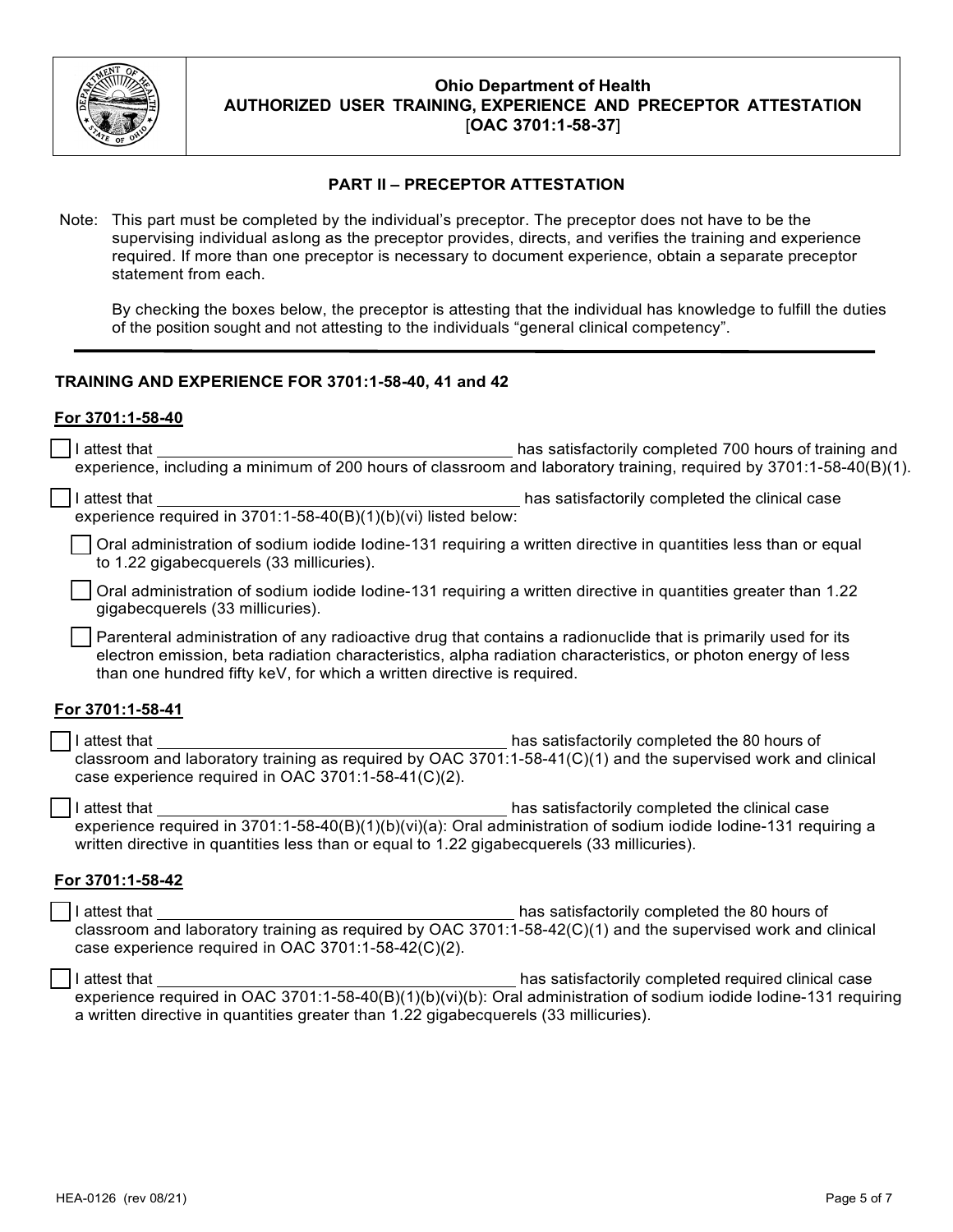

### **PART II – PRECEPTOR ATTESTATION**

Note: This part must be completed by the individual's preceptor. The preceptor does not have to be the supervising individual aslong as the preceptor provides, directs, and verifies the training and experience required. If more than one preceptor is necessary to document experience, obtain a separate preceptor statement from each.

By checking the boxes below, the preceptor is attesting that the individual has knowledge to fulfill the duties of the position sought and not attesting to the individuals "general clinical competency".

### **TRAINING AND EXPERIENCE FOR 3701:1-58-40, 41 and 42**

#### **For 3701:1-58-40**

| has satisfactorily completed 700 hours of training and                                                                                                                                                                                                                                                  |  |
|---------------------------------------------------------------------------------------------------------------------------------------------------------------------------------------------------------------------------------------------------------------------------------------------------------|--|
| has satisfactorily completed the clinical case<br>I attest that                                                                                                                                                                                                                                         |  |
| Oral administration of sodium iodide Iodine-131 requiring a written directive in quantities less than or equal<br>to 1.22 gigabecquerels (33 millicuries).                                                                                                                                              |  |
| Oral administration of sodium iodide lodine-131 requiring a written directive in quantities greater than 1.22<br>gigabecquerels (33 millicuries).                                                                                                                                                       |  |
| Parenteral administration of any radioactive drug that contains a radionuclide that is primarily used for its<br>electron emission, beta radiation characteristics, alpha radiation characteristics, or photon energy of less<br>than one hundred fifty keV, for which a written directive is required. |  |
| For 3701:1-58-41                                                                                                                                                                                                                                                                                        |  |
| has satisfactorily completed the 80 hours of<br>I attest that<br>classroom and laboratory training as required by OAC 3701:1-58-41(C)(1) and the supervised work and clinical<br>case experience required in OAC 3701:1-58-41(C)(2).                                                                    |  |
| I attest that<br>has satisfactorily completed the clinical case<br>experience required in 3701:1-58-40(B)(1)(b)(vi)(a): Oral administration of sodium iodide lodine-131 requiring a<br>written directive in quantities less than or equal to 1.22 gigabecquerels (33 millicuries).                      |  |
| For 3701:1-58-42                                                                                                                                                                                                                                                                                        |  |
| has satisfactorily completed the 80 hours of<br>I attest that<br>classroom and laboratory training as required by OAC 3701:1-58-42(C)(1) and the supervised work and clinical<br>case experience required in OAC 3701:1-58-42(C)(2).                                                                    |  |
| I attest that<br>has satisfactorily completed required clinical case<br>experience required in OAC 3701:1-58-40(B)(1)(b)(vi)(b): Oral administration of sodium iodide lodine-131 requiring<br>a written directive in quantities greater than 1.22 gigabecquerels (33 millicuries).                      |  |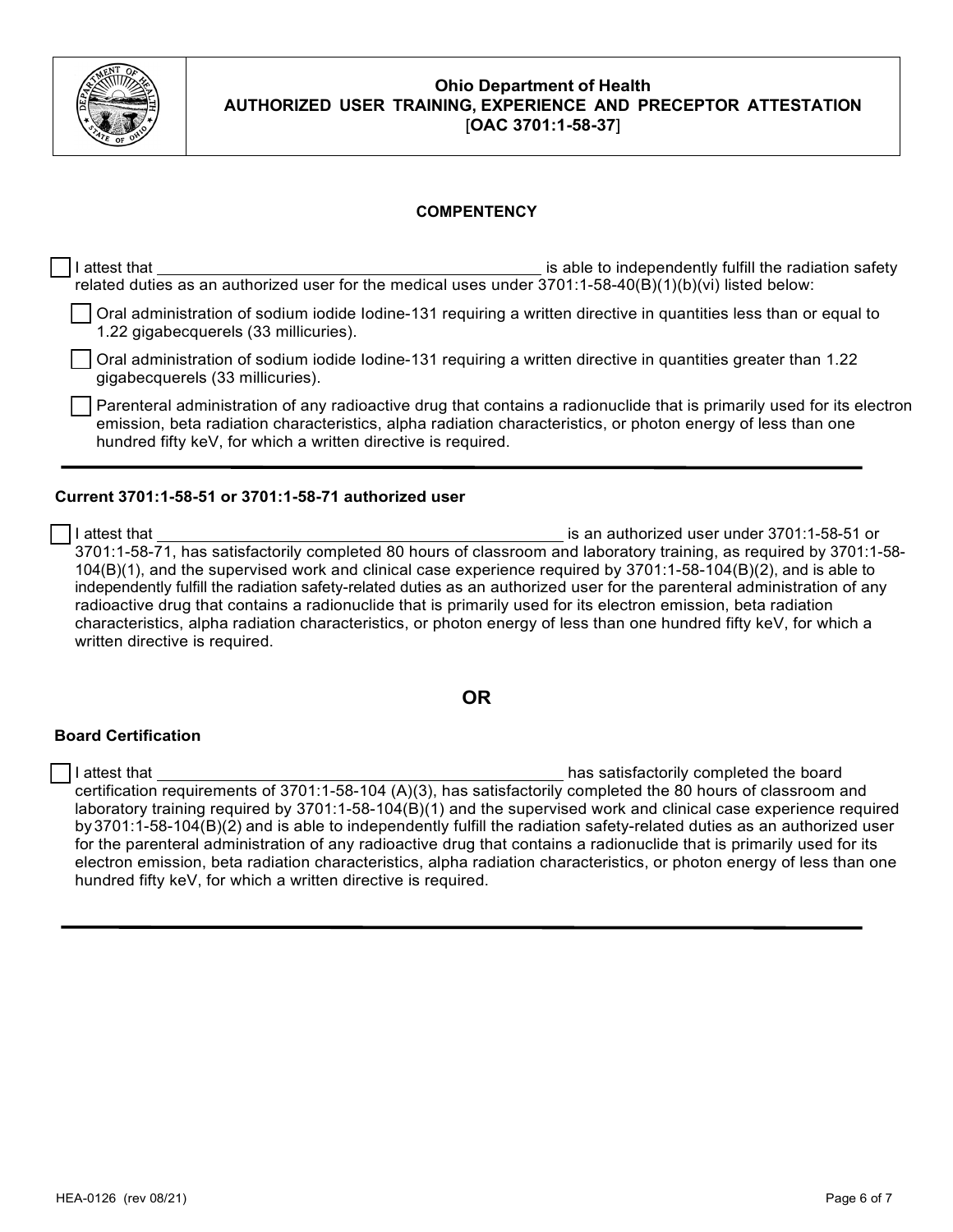

### **COMPENTENCY**

| ∣ attest that                                                                                                                                                                                                                                                                                           | is able to independently fulfill the radiation safety |
|---------------------------------------------------------------------------------------------------------------------------------------------------------------------------------------------------------------------------------------------------------------------------------------------------------|-------------------------------------------------------|
| related duties as an authorized user for the medical uses under $3701:1-58-40(B)(1)(b)(vi)$ listed below:                                                                                                                                                                                               |                                                       |
| Oral administration of sodium iodide Iodine-131 requiring a written directive in quantities less than or equal to<br>1.22 gigabecquerels (33 millicuries).                                                                                                                                              |                                                       |
| Oral administration of sodium iodide Iodine-131 requiring a written directive in quantities greater than 1.22<br>gigabecquerels (33 millicuries).                                                                                                                                                       |                                                       |
| Parenteral administration of any radioactive drug that contains a radionuclide that is primarily used for its electron<br>emission, beta radiation characteristics, alpha radiation characteristics, or photon energy of less than one<br>hundred fifty keV, for which a written directive is required. |                                                       |

### **Current 3701:1-58-51 or 3701:1-58-71 authorized user**

☐ I attest that is an authorized user under 3701:1-58-51 or 3701:1-58-71, has satisfactorily completed 80 hours of classroom and laboratory training, as required by 3701:1-58- 104(B)(1), and the supervised work and clinical case experience required by 3701:1-58-104(B)(2), and is able to independently fulfill the radiation safety-related duties as an authorized user for the parenteral administration of any radioactive drug that contains a radionuclide that is primarily used for its electron emission, beta radiation characteristics, alpha radiation characteristics, or photon energy of less than one hundred fifty keV, for which a written directive is required.

### **OR**

#### **Board Certification**

☐ I attest that has satisfactorily completed the board certification requirements of 3701:1-58-104 (A)(3), has satisfactorily completed the 80 hours of classroom and laboratory training required by 3701:1-58-104(B)(1) and the supervised work and clinical case experience required by 3701:1-58-104(B)(2) and is able to independently fulfill the radiation safety-related duties as an authorized user for the parenteral administration of any radioactive drug that contains a radionuclide that is primarily used for its electron emission, beta radiation characteristics, alpha radiation characteristics, or photon energy of less than one hundred fifty keV, for which a written directive is required.